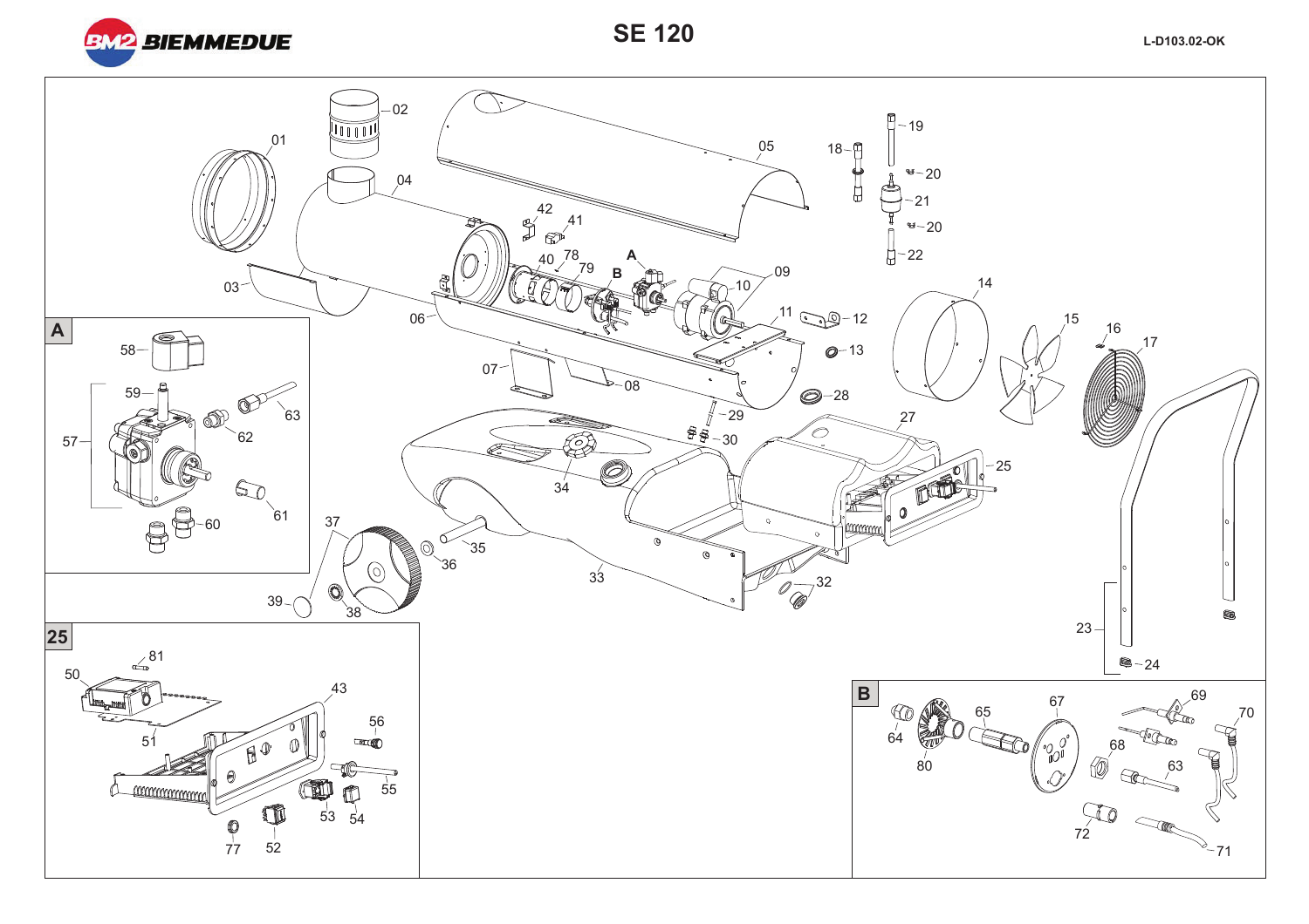

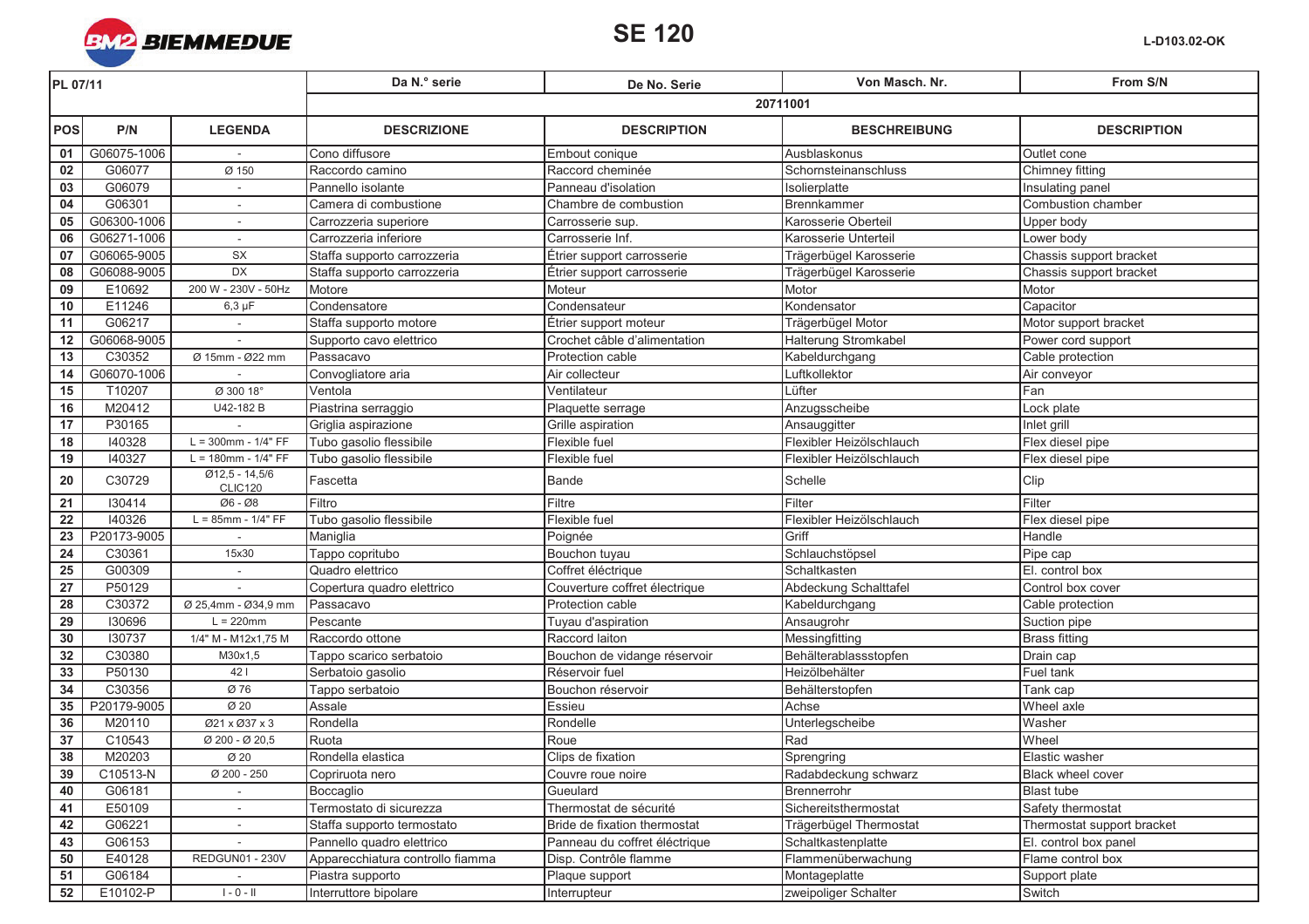

| PL 07/11        |             |                                    | Da N.º serie                     | De No. Serie                  | Von Masch. Nr.           | From S/N                   |  |
|-----------------|-------------|------------------------------------|----------------------------------|-------------------------------|--------------------------|----------------------------|--|
|                 |             |                                    | 20711001                         |                               |                          |                            |  |
| <b>POS</b>      | P/N         | <b>LEGENDA</b>                     | <b>DESCRIZIONE</b>               | <b>DESCRIPTION</b>            | <b>BESCHREIBUNG</b>      | <b>DESCRIPTION</b>         |  |
| 01              | G06075-1006 |                                    | Cono diffusore                   | Embout conique                | Ausblaskonus             | Outlet cone                |  |
| 02              | G06077      | Ø 150                              | Raccordo camino                  | Raccord cheminée              | Schornsteinanschluss     | Chimney fitting            |  |
| 03              | G06079      | $\sim$                             | Pannello isolante                | Panneau d'isolation           | Isolierplatte            | Insulating panel           |  |
| 04              | G06301      | $\sim$                             | Camera di combustione            | Chambre de combustion         | Brennkammer              | Combustion chamber         |  |
| 05              | G06300-1006 | $\sim$                             | Carrozzeria superiore            | Carrosserie sup.              | Karosserie Oberteil      | Upper body                 |  |
| 06              | G06271-1006 |                                    | Carrozzeria inferiore            | Carrosserie Inf.              | Karosserie Unterteil     | Lower body                 |  |
| 07              | G06065-9005 | <b>SX</b>                          | Staffa supporto carrozzeria      | Étrier support carrosserie    | Trägerbügel Karosserie   | Chassis support bracket    |  |
| 08              | G06088-9005 | <b>DX</b>                          | Staffa supporto carrozzeria      | Étrier support carrosserie    | Trägerbügel Karosserie   | Chassis support bracket    |  |
| $\overline{09}$ | E10692      | 200 W - 230V - 50Hz                | Motore                           | Moteur                        | Motor                    | Motor                      |  |
| 10              | E11246      | $6,3 \mu F$                        | Condensatore                     | Condensateur                  | Kondensator              | Capacitor                  |  |
| 11              | G06217      |                                    | Staffa supporto motore           | Étrier support moteur         | Trägerbügel Motor        | Motor support bracket      |  |
| 12              | G06068-9005 |                                    | Supporto cavo elettrico          | Crochet câble d'alimentation  | Halterung Stromkabel     | Power cord support         |  |
| 13              | C30352      | Ø 15mm - Ø22 mm                    | Passacavo                        | Protection cable              | Kabeldurchgang           | Cable protection           |  |
| 14              | G06070-1006 |                                    | Convogliatore aria               | Air collecteur                | Luftkollektor            | Air conveyor               |  |
| 15              | T10207      | Ø 300 18°                          | Ventola                          | Ventilateur                   | Lüfter                   | Fan                        |  |
| 16              | M20412      | U42-182 B                          | Piastrina serraggio              | Plaquette serrage             | Anzugsscheibe            | ock plate                  |  |
| 17              | P30165      |                                    | Griglia aspirazione              | Grille aspiration             | Ansauggitter             | Inlet grill                |  |
| 18              | 140328      | $L = 300$ mm - $1/4" FF$           | Tubo gasolio flessibile          | Flexible fuel                 | Flexibler Heizölschlauch | Flex diesel pipe           |  |
| 19              | 140327      | $L = 180$ mm - $1/4" FF$           | Tubo gasolio flessibile          | Flexible fuel                 | Flexibler Heizölschlauch | Flex diesel pipe           |  |
| ${\bf 20}$      | C30729      | $Ø12,5 - 14,5/6$<br><b>CLIC120</b> | Fascetta                         | <b>Bande</b>                  | Schelle                  | Clip                       |  |
| 21              | 130414      | Ø6 - Ø8                            | Filtro                           | Filtre                        | <b>IFilter</b>           | Filter                     |  |
| 22              | 140326      | $L = 85$ mm - $1/4" FF$            | Tubo gasolio flessibile          | Flexible fuel                 | Flexibler Heizölschlauch | Flex diesel pipe           |  |
| 23              | P20173-9005 |                                    | Maniglia                         | Poignée                       | Griff                    | Handle                     |  |
| 24              | C30361      | 15x30                              | Tappo copritubo                  | Bouchon tuyau                 | Schlauchstöpsel          | Pipe cap                   |  |
| 25              | G00309      | $\sim$                             | Quadro elettrico                 | Coffret éléctrique            | Schaltkasten             | El. control box            |  |
| $\overline{27}$ | P50129      |                                    | Copertura quadro elettrico       | Couverture coffret électrique | Abdeckung Schalttafel    | Control box cover          |  |
| 28              | C30372      | Ø 25,4mm - Ø34,9 mm                | Passacavo                        | Protection cable              | Kabeldurchgang           | Cable protection           |  |
| 29              | 130696      | $L = 220$ mm                       | Pescante                         | Tuyau d'aspiration            | Ansaugrohr               | Suction pipe               |  |
| 30              | 130737      | 1/4" M - M12x1,75 M                | Raccordo ottone                  | Raccord laiton                | Messingfitting           | <b>Brass fitting</b>       |  |
| 32              | C30380      | M30x1,5                            | Tappo scarico serbatoio          | Bouchon de vidange réservoir  | Behälterablassstopfen    | Drain cap                  |  |
| 33              | P50130      | 421                                | Serbatoio gasolio                | Réservoir fuel                | Heizölbehälter           | Fuel tank                  |  |
| 34              | C30356      | Ø 76                               | Tappo serbatoio                  | Bouchon réservoir             | Behälterstopfen          | Tank cap                   |  |
| 35              | P20179-9005 | Ø 20                               | Assale                           | Essieu                        | Achse                    | Wheel axle                 |  |
| 36              | M20110      | Ø21 x Ø37 x 3                      | Rondella                         | Rondelle                      | Unterlegscheibe          | Washer                     |  |
| 37              | C10543      | Ø 200 - Ø 20,5                     | Ruota                            | Roue                          | Rad                      | Wheel                      |  |
| 38              | M20203      | Ø 20                               | Rondella elastica                | Clips de fixation             | Sprengring               | Elastic washer             |  |
| 39              | C10513-N    | Ø 200 - 250                        | Copriruota nero                  | Couvre roue noire             | Radabdeckung schwarz     | <b>Black wheel cover</b>   |  |
| 40              | G06181      |                                    | Boccaglio                        | Gueulard                      | Brennerrohr              | <b>Blast tube</b>          |  |
| 41              | E50109      |                                    | Termostato di sicurezza          | Thermostat de sécurité        | Sichereitsthermostat     | Safety thermostat          |  |
| 42              | G06221      |                                    | Staffa supporto termostato       | Bride de fixation thermostat  | Trägerbügel Thermostat   | Thermostat support bracket |  |
| 43              | G06153      |                                    | Pannello quadro elettrico        | Panneau du coffret éléctrique | Schaltkastenplatte       | El. control box panel      |  |
| 50              | E40128      | <b>REDGUN01 - 230V</b>             | Apparecchiatura controllo fiamma | Disp. Contrôle flamme         | Flammenüberwachung       | Flame control box          |  |
| 51              | G06184      |                                    | Piastra supporto                 | Plaque support                | Montageplatte            | Support plate              |  |
| 52              | E10102-P    | $1 - 0 - 11$                       | Interruttore bipolare            | Interrupteur                  | zweipoliger Schalter     | Switch                     |  |